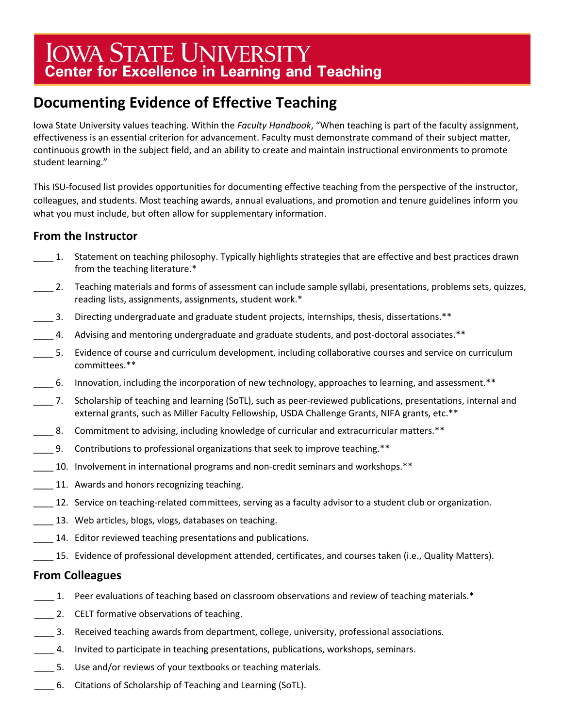# IOWA STATE UNIVERSITY **Center for Excellence in Learning and Teaching**

## **Documenting Evidence of Effective Teaching**

 Iowa State University values teaching. Within the *Faculty Handbook*, "When teaching is part of the faculty assignment, effectiveness is an essential criterion for advancement. Faculty must demonstrate command of their subject matter, continuous growth in the subject field, and an ability to create and maintain instructional environments to promote student learning."

 This ISU-focused list provides opportunities for documenting effective teaching from the perspective of the instructor, what you must include, but often allow for supplementary information. colleagues, and students. Most teaching awards, annual evaluations, and promotion and tenure guidelines inform you

### **From the Instructor**

- \_\_\_\_ 1. Statement on teaching philosophy. Typically highlights strategies that are effective and best practices drawn from the teaching literature.\*
- \_\_\_\_ 2. Teaching materials and forms of assessment can include sample syllabi, presentations, problems sets, quizzes, reading lists, assignments, assignments, student work.\*
- \_\_\_\_ 3. Directing undergraduate and graduate student projects, internships, thesis, dissertations.\*\*
- \_\_\_\_ 4. Advising and mentoring undergraduate and graduate students, and post-doctoral associates.\*\*
- \_\_\_\_ 5. Evidence of course and curriculum development, including collaborative courses and service on curriculum committees.\*\*
- \_\_\_\_ 6. Innovation, including the incorporation of new technology, approaches to learning, and assessment.\*\*
- external grants, such as Miller Faculty Fellowship, USDA Challenge Grants, NIFA grants, etc.\*\* \_\_\_\_ 7. Scholarship of teaching and learning (SoTL), such as peer-reviewed publications, presentations, internal and
- \_\_\_\_ 8. Commitment to advising, including knowledge of curricular and extracurricular matters.\*\*
- \_\_\_\_ 9. Contributions to professional organizations that seek to improve teaching.\*\*
- \_\_\_\_ 10. Involvement in international programs and non-credit seminars and workshops.\*\*
- **11.** Awards and honors recognizing teaching.
- 12. Service on teaching-related committees, serving as a faculty advisor to a student club or organization.
- **13.** Web articles, blogs, vlogs, databases on teaching.
- 14. Editor reviewed teaching presentations and publications.
- \_\_\_\_ 15. Evidence of professional development attended, certificates, and courses taken (i.e., Quality Matters).

#### **From Colleagues**

- 1. Peer evaluations of teaching based on classroom observations and review of teaching materials.\*
- 2. CELT formative observations of teaching.
- **\_\_\_\_** 3. Received teaching awards from department, college, university, professional associations.
- \_\_\_\_ 4. Invited to participate in teaching presentations, publications, workshops, seminars.
- **\_\_\_\_** 5. Use and/or reviews of your textbooks or teaching materials.
- \_\_\_\_ 6. Citations of Scholarship of Teaching and Learning (SoTL).